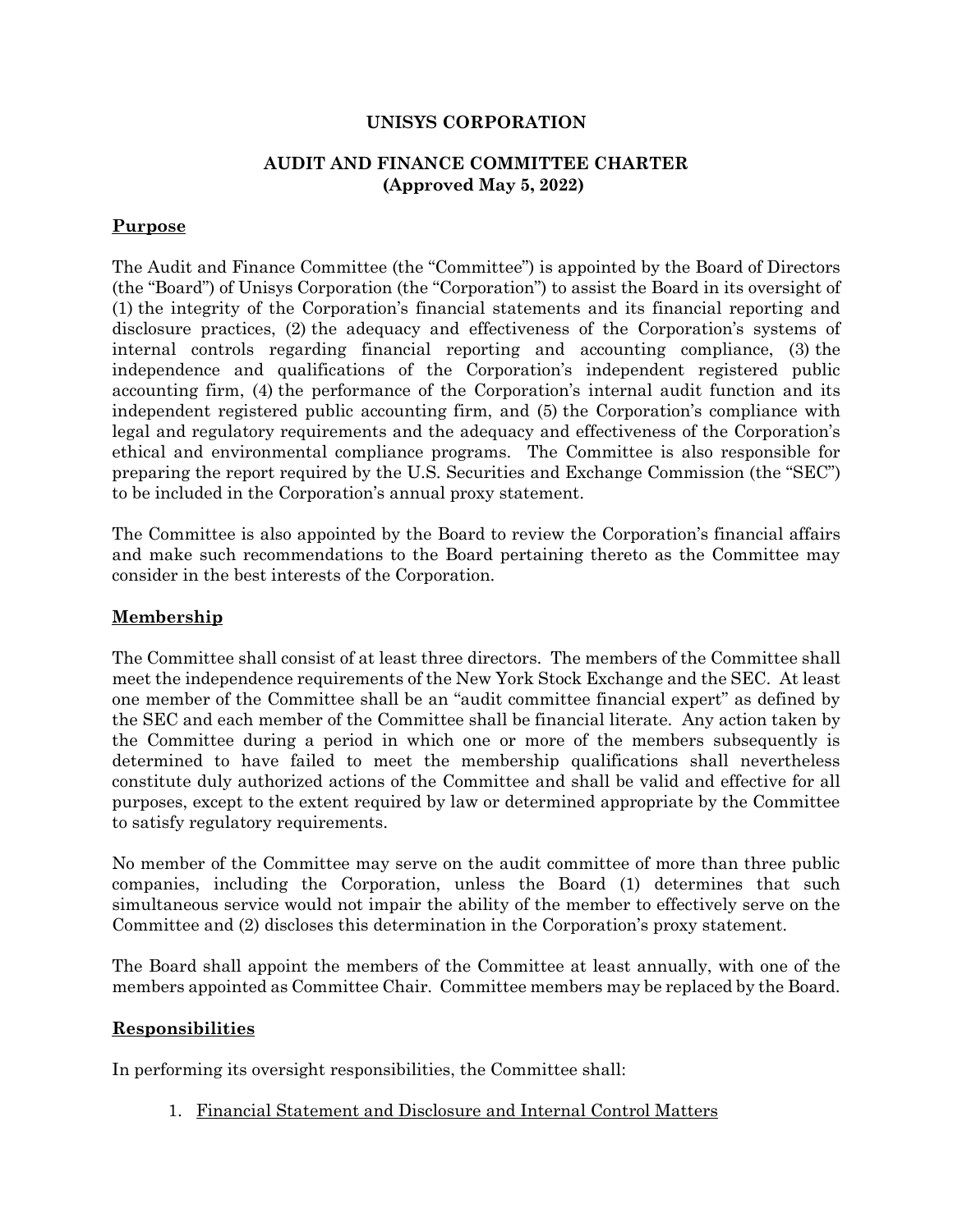## **UNISYS CORPORATION**

## **AUDIT AND FINANCE COMMITTEE CHARTER (Approved May 5, 2022)**

# **Purpose**

The Audit and Finance Committee (the "Committee") is appointed by the Board of Directors (the "Board") of Unisys Corporation (the "Corporation") to assist the Board in its oversight of (1) the integrity of the Corporation's financial statements and its financial reporting and disclosure practices, (2) the adequacy and effectiveness of the Corporation's systems of internal controls regarding financial reporting and accounting compliance, (3) the independence and qualifications of the Corporation's independent registered public accounting firm, (4) the performance of the Corporation's internal audit function and its independent registered public accounting firm, and (5) the Corporation's compliance with legal and regulatory requirements and the adequacy and effectiveness of the Corporation's ethical and environmental compliance programs. The Committee is also responsible for preparing the report required by the U.S. Securities and Exchange Commission (the "SEC") to be included in the Corporation's annual proxy statement.

The Committee is also appointed by the Board to review the Corporation's financial affairs and make such recommendations to the Board pertaining thereto as the Committee may consider in the best interests of the Corporation.

## **Membership**

The Committee shall consist of at least three directors. The members of the Committee shall meet the independence requirements of the New York Stock Exchange and the SEC. At least one member of the Committee shall be an "audit committee financial expert" as defined by the SEC and each member of the Committee shall be financial literate. Any action taken by the Committee during a period in which one or more of the members subsequently is determined to have failed to meet the membership qualifications shall nevertheless constitute duly authorized actions of the Committee and shall be valid and effective for all purposes, except to the extent required by law or determined appropriate by the Committee to satisfy regulatory requirements.

No member of the Committee may serve on the audit committee of more than three public companies, including the Corporation, unless the Board (1) determines that such simultaneous service would not impair the ability of the member to effectively serve on the Committee and (2) discloses this determination in the Corporation's proxy statement.

The Board shall appoint the members of the Committee at least annually, with one of the members appointed as Committee Chair. Committee members may be replaced by the Board.

#### **Responsibilities**

In performing its oversight responsibilities, the Committee shall:

1. Financial Statement and Disclosure and Internal Control Matters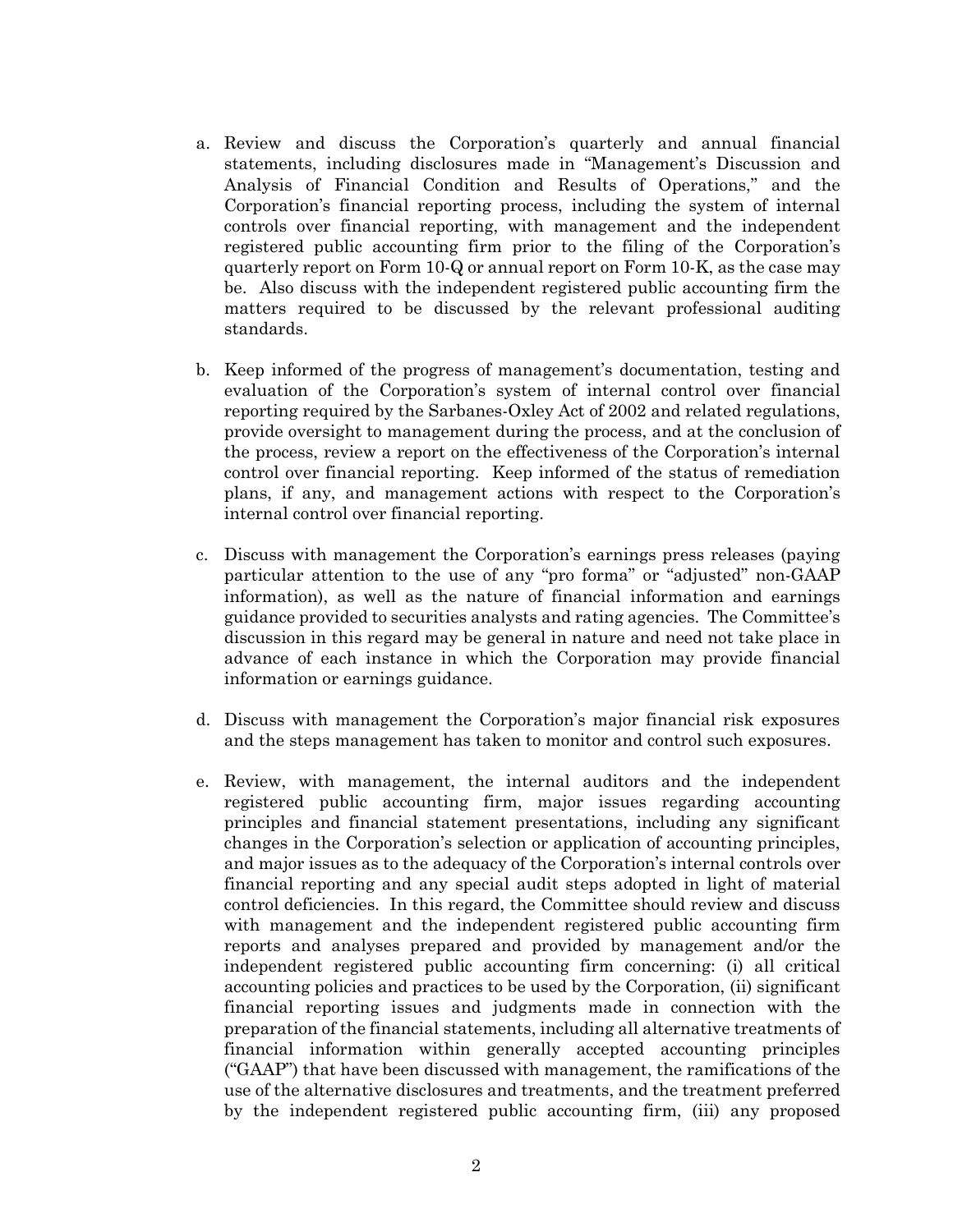- a. Review and discuss the Corporation's quarterly and annual financial statements, including disclosures made in "Management's Discussion and Analysis of Financial Condition and Results of Operations," and the Corporation's financial reporting process, including the system of internal controls over financial reporting, with management and the independent registered public accounting firm prior to the filing of the Corporation's quarterly report on Form 10-Q or annual report on Form 10-K, as the case may be. Also discuss with the independent registered public accounting firm the matters required to be discussed by the relevant professional auditing standards.
- b. Keep informed of the progress of management's documentation, testing and evaluation of the Corporation's system of internal control over financial reporting required by the Sarbanes-Oxley Act of 2002 and related regulations, provide oversight to management during the process, and at the conclusion of the process, review a report on the effectiveness of the Corporation's internal control over financial reporting. Keep informed of the status of remediation plans, if any, and management actions with respect to the Corporation's internal control over financial reporting.
- c. Discuss with management the Corporation's earnings press releases (paying particular attention to the use of any "pro forma" or "adjusted" non-GAAP information), as well as the nature of financial information and earnings guidance provided to securities analysts and rating agencies. The Committee's discussion in this regard may be general in nature and need not take place in advance of each instance in which the Corporation may provide financial information or earnings guidance.
- d. Discuss with management the Corporation's major financial risk exposures and the steps management has taken to monitor and control such exposures.
- e. Review, with management, the internal auditors and the independent registered public accounting firm, major issues regarding accounting principles and financial statement presentations, including any significant changes in the Corporation's selection or application of accounting principles, and major issues as to the adequacy of the Corporation's internal controls over financial reporting and any special audit steps adopted in light of material control deficiencies. In this regard, the Committee should review and discuss with management and the independent registered public accounting firm reports and analyses prepared and provided by management and/or the independent registered public accounting firm concerning: (i) all critical accounting policies and practices to be used by the Corporation, (ii) significant financial reporting issues and judgments made in connection with the preparation of the financial statements, including all alternative treatments of financial information within generally accepted accounting principles ("GAAP") that have been discussed with management, the ramifications of the use of the alternative disclosures and treatments, and the treatment preferred by the independent registered public accounting firm, (iii) any proposed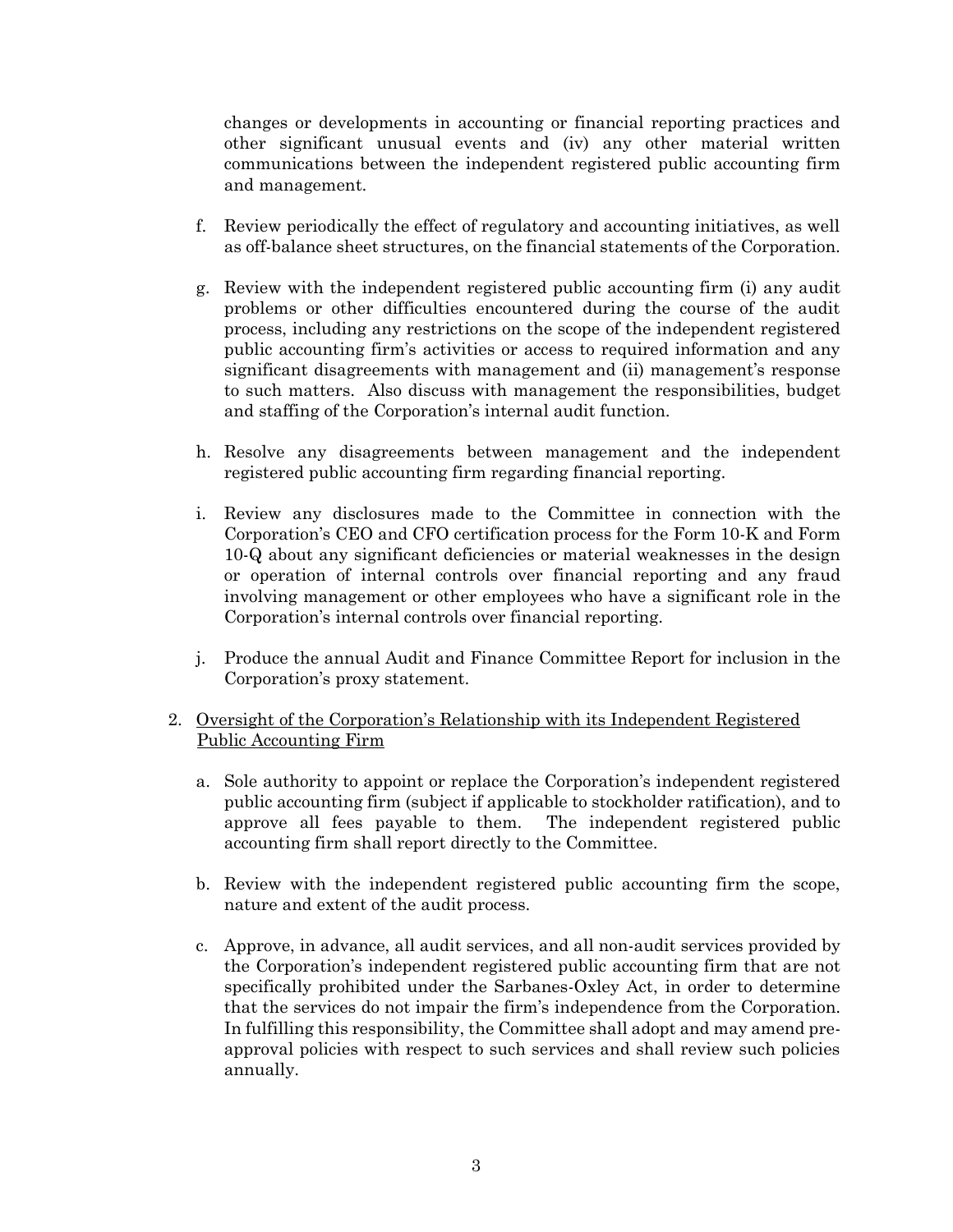changes or developments in accounting or financial reporting practices and other significant unusual events and (iv) any other material written communications between the independent registered public accounting firm and management.

- f. Review periodically the effect of regulatory and accounting initiatives, as well as off-balance sheet structures, on the financial statements of the Corporation.
- g. Review with the independent registered public accounting firm (i) any audit problems or other difficulties encountered during the course of the audit process, including any restrictions on the scope of the independent registered public accounting firm's activities or access to required information and any significant disagreements with management and (ii) management's response to such matters. Also discuss with management the responsibilities, budget and staffing of the Corporation's internal audit function.
- h. Resolve any disagreements between management and the independent registered public accounting firm regarding financial reporting.
- i. Review any disclosures made to the Committee in connection with the Corporation's CEO and CFO certification process for the Form 10-K and Form 10-Q about any significant deficiencies or material weaknesses in the design or operation of internal controls over financial reporting and any fraud involving management or other employees who have a significant role in the Corporation's internal controls over financial reporting.
- j. Produce the annual Audit and Finance Committee Report for inclusion in the Corporation's proxy statement.

## 2. Oversight of the Corporation's Relationship with its Independent Registered Public Accounting Firm

- a. Sole authority to appoint or replace the Corporation's independent registered public accounting firm (subject if applicable to stockholder ratification), and to approve all fees payable to them. The independent registered public accounting firm shall report directly to the Committee.
- b. Review with the independent registered public accounting firm the scope, nature and extent of the audit process.
- c. Approve, in advance, all audit services, and all non-audit services provided by the Corporation's independent registered public accounting firm that are not specifically prohibited under the Sarbanes-Oxley Act, in order to determine that the services do not impair the firm's independence from the Corporation. In fulfilling this responsibility, the Committee shall adopt and may amend preapproval policies with respect to such services and shall review such policies annually.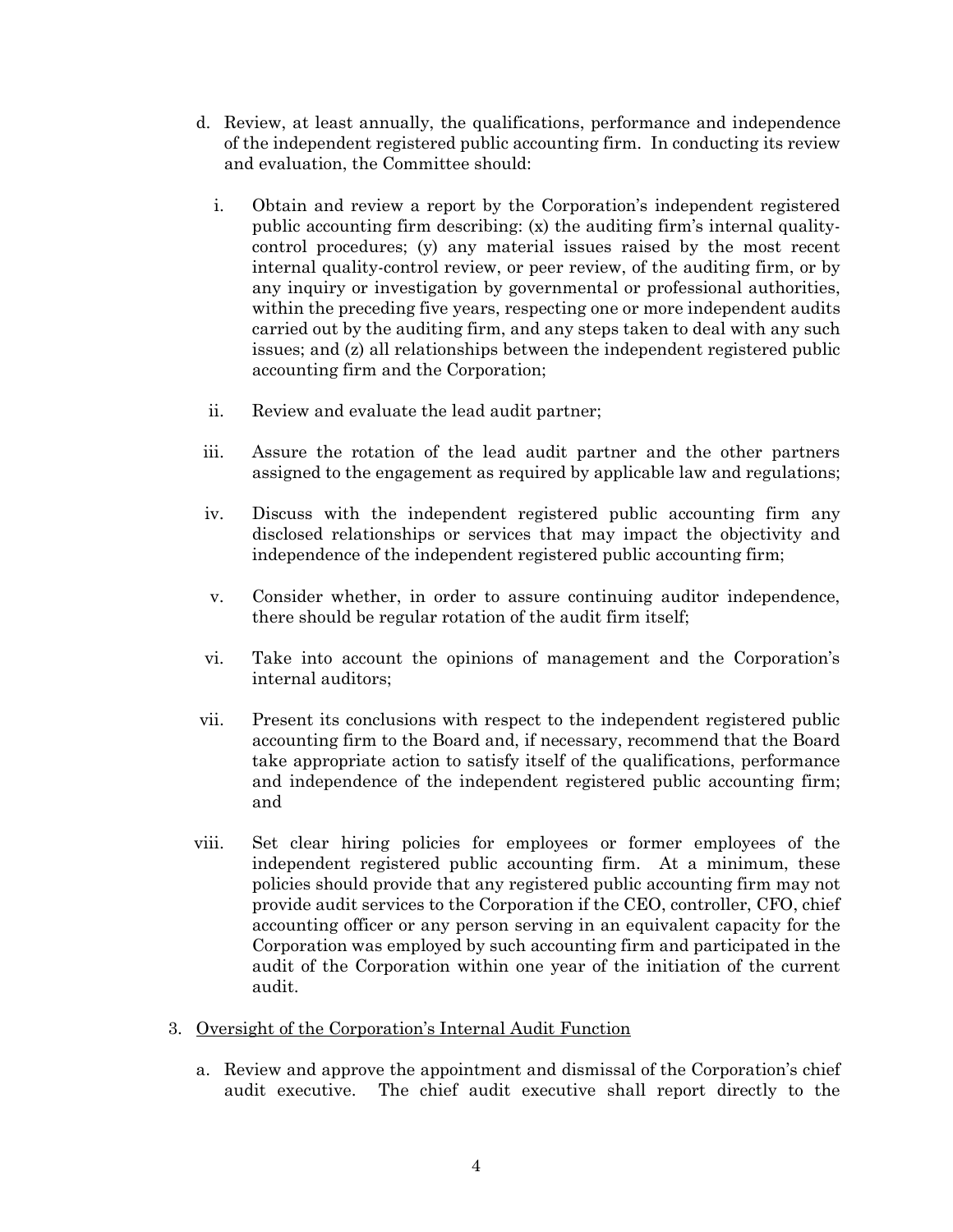- d. Review, at least annually, the qualifications, performance and independence of the independent registered public accounting firm. In conducting its review and evaluation, the Committee should:
	- i. Obtain and review a report by the Corporation's independent registered public accounting firm describing: (x) the auditing firm's internal qualitycontrol procedures; (y) any material issues raised by the most recent internal quality-control review, or peer review, of the auditing firm, or by any inquiry or investigation by governmental or professional authorities, within the preceding five years, respecting one or more independent audits carried out by the auditing firm, and any steps taken to deal with any such issues; and (z) all relationships between the independent registered public accounting firm and the Corporation;
	- ii. Review and evaluate the lead audit partner;
- iii. Assure the rotation of the lead audit partner and the other partners assigned to the engagement as required by applicable law and regulations;
- iv. Discuss with the independent registered public accounting firm any disclosed relationships or services that may impact the objectivity and independence of the independent registered public accounting firm;
- v. Consider whether, in order to assure continuing auditor independence, there should be regular rotation of the audit firm itself;
- vi. Take into account the opinions of management and the Corporation's internal auditors;
- vii. Present its conclusions with respect to the independent registered public accounting firm to the Board and, if necessary, recommend that the Board take appropriate action to satisfy itself of the qualifications, performance and independence of the independent registered public accounting firm; and
- viii. Set clear hiring policies for employees or former employees of the independent registered public accounting firm. At a minimum, these policies should provide that any registered public accounting firm may not provide audit services to the Corporation if the CEO, controller, CFO, chief accounting officer or any person serving in an equivalent capacity for the Corporation was employed by such accounting firm and participated in the audit of the Corporation within one year of the initiation of the current audit.
- 3. Oversight of the Corporation's Internal Audit Function
	- a. Review and approve the appointment and dismissal of the Corporation's chief audit executive. The chief audit executive shall report directly to the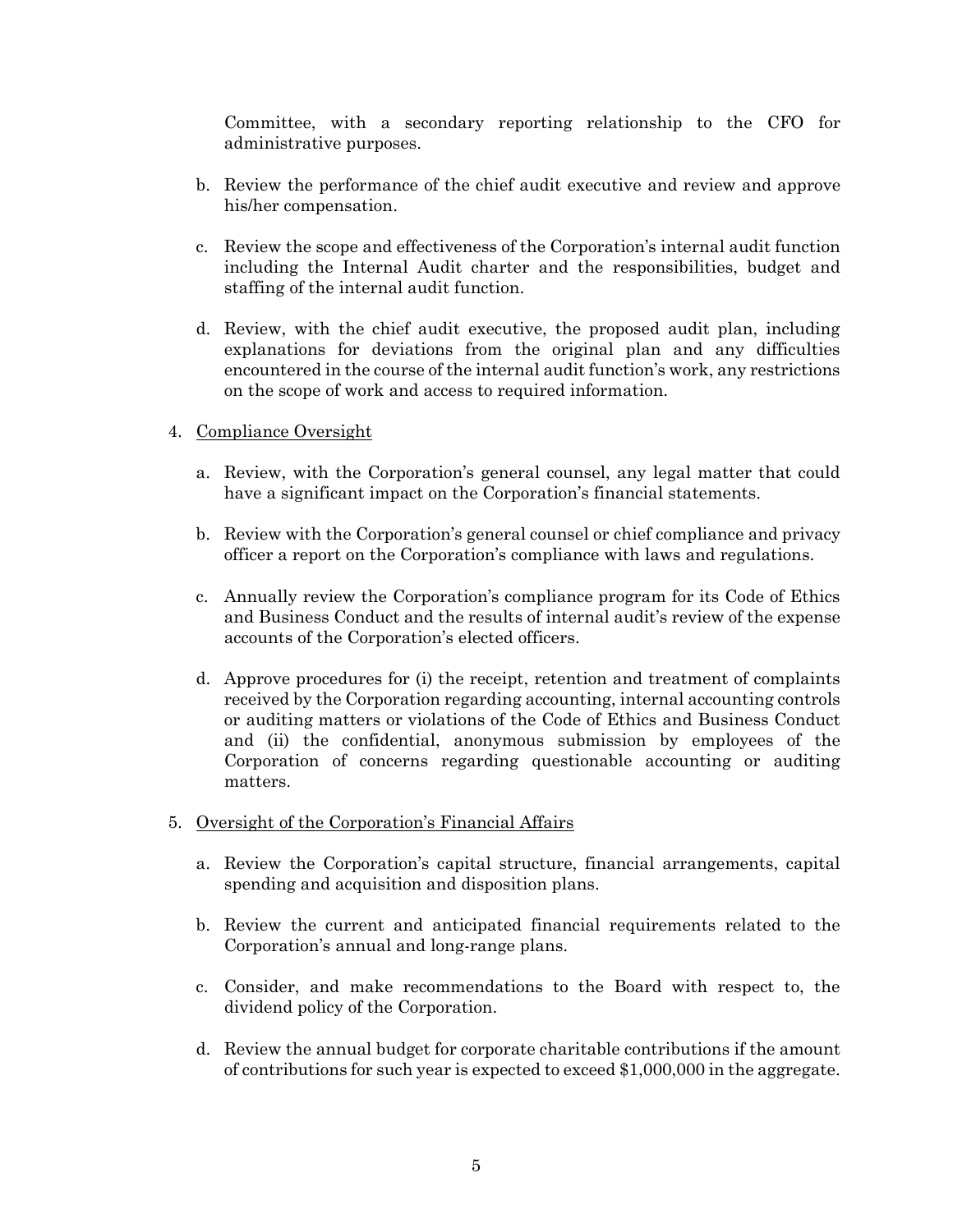Committee, with a secondary reporting relationship to the CFO for administrative purposes.

- b. Review the performance of the chief audit executive and review and approve his/her compensation.
- c. Review the scope and effectiveness of the Corporation's internal audit function including the Internal Audit charter and the responsibilities, budget and staffing of the internal audit function.
- d. Review, with the chief audit executive, the proposed audit plan, including explanations for deviations from the original plan and any difficulties encountered in the course of the internal audit function's work, any restrictions on the scope of work and access to required information.

## 4. Compliance Oversight

- a. Review, with the Corporation's general counsel, any legal matter that could have a significant impact on the Corporation's financial statements.
- b. Review with the Corporation's general counsel or chief compliance and privacy officer a report on the Corporation's compliance with laws and regulations.
- c. Annually review the Corporation's compliance program for its Code of Ethics and Business Conduct and the results of internal audit's review of the expense accounts of the Corporation's elected officers.
- d. Approve procedures for (i) the receipt, retention and treatment of complaints received by the Corporation regarding accounting, internal accounting controls or auditing matters or violations of the Code of Ethics and Business Conduct and (ii) the confidential, anonymous submission by employees of the Corporation of concerns regarding questionable accounting or auditing matters.
- 5. Oversight of the Corporation's Financial Affairs
	- a. Review the Corporation's capital structure, financial arrangements, capital spending and acquisition and disposition plans.
	- b. Review the current and anticipated financial requirements related to the Corporation's annual and long-range plans.
	- c. Consider, and make recommendations to the Board with respect to, the dividend policy of the Corporation.
	- d. Review the annual budget for corporate charitable contributions if the amount of contributions for such year is expected to exceed \$1,000,000 in the aggregate.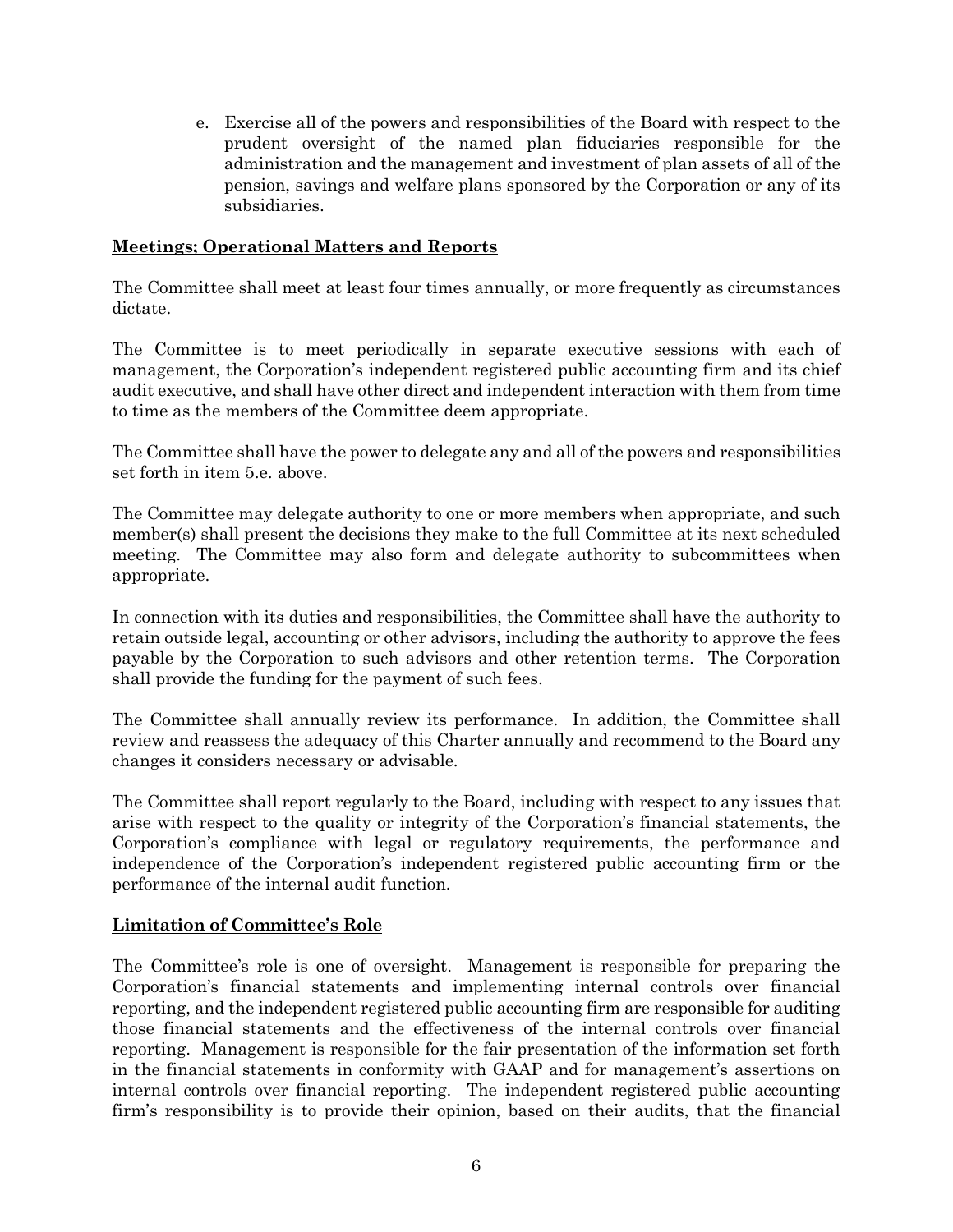e. Exercise all of the powers and responsibilities of the Board with respect to the prudent oversight of the named plan fiduciaries responsible for the administration and the management and investment of plan assets of all of the pension, savings and welfare plans sponsored by the Corporation or any of its subsidiaries.

## **Meetings; Operational Matters and Reports**

The Committee shall meet at least four times annually, or more frequently as circumstances dictate.

The Committee is to meet periodically in separate executive sessions with each of management, the Corporation's independent registered public accounting firm and its chief audit executive, and shall have other direct and independent interaction with them from time to time as the members of the Committee deem appropriate.

The Committee shall have the power to delegate any and all of the powers and responsibilities set forth in item 5.e. above.

The Committee may delegate authority to one or more members when appropriate, and such member(s) shall present the decisions they make to the full Committee at its next scheduled meeting. The Committee may also form and delegate authority to subcommittees when appropriate.

In connection with its duties and responsibilities, the Committee shall have the authority to retain outside legal, accounting or other advisors, including the authority to approve the fees payable by the Corporation to such advisors and other retention terms. The Corporation shall provide the funding for the payment of such fees.

The Committee shall annually review its performance. In addition, the Committee shall review and reassess the adequacy of this Charter annually and recommend to the Board any changes it considers necessary or advisable*.*

The Committee shall report regularly to the Board, including with respect to any issues that arise with respect to the quality or integrity of the Corporation's financial statements, the Corporation's compliance with legal or regulatory requirements, the performance and independence of the Corporation's independent registered public accounting firm or the performance of the internal audit function*.*

#### **Limitation of Committee's Role**

The Committee's role is one of oversight. Management is responsible for preparing the Corporation's financial statements and implementing internal controls over financial reporting, and the independent registered public accounting firm are responsible for auditing those financial statements and the effectiveness of the internal controls over financial reporting. Management is responsible for the fair presentation of the information set forth in the financial statements in conformity with GAAP and for management's assertions on internal controls over financial reporting. The independent registered public accounting firm's responsibility is to provide their opinion, based on their audits, that the financial